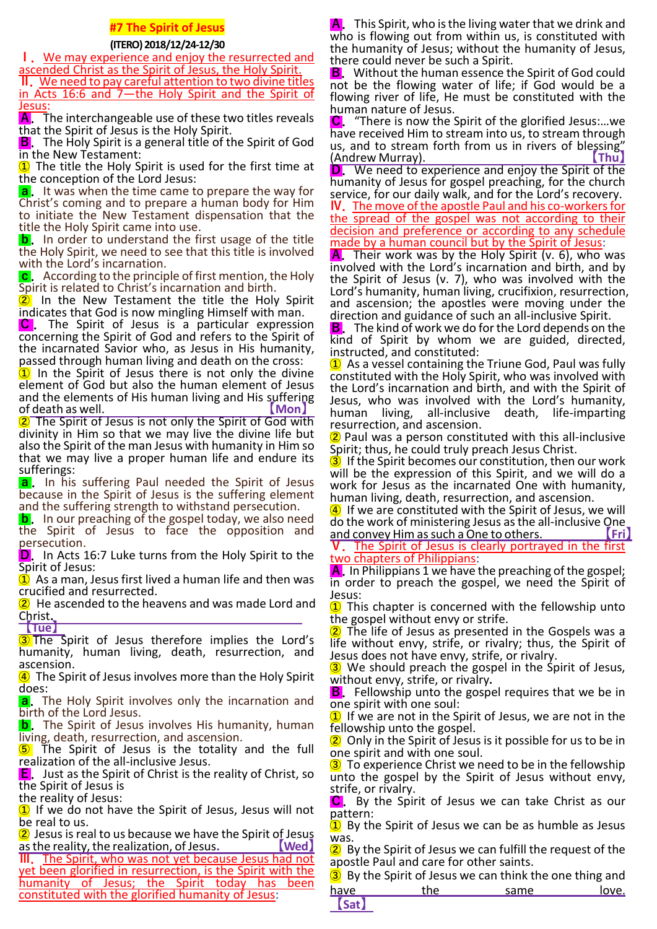### **#7 The Spirit of Jesus**

### **(ITERO) 2018/12/24-12/30**

**Ⅰ.**We may experience and enjoy the resurrected and ascended Christ as the Spirit of Jesus, the Holy Spirit.

**Ⅱ.**We need to pay careful attention to two divine titles in Acts 16:6 and 7—the Holy Spirit and the Spirit of Jesus:

**A.** The interchangeable use of these two titles reveals that the Spirit of Jesus is the Holy Spirit.

**B**. The Holy Spirit is a general title of the Spirit of God in the New Testament:

**①** The title the Holy Spirit is used for the first time at the conception of the Lord Jesus:

**a.** It was when the time came to prepare the way for Christ's coming and to prepare a human body for Him to initiate the New Testament dispensation that the title the Holy Spirit came into use.

**b**. In order to understand the first usage of the title the Holy Spirit, we need to see that this title is involved with the Lord's incarnation.

**c**. According to the principle of first mention, the Holy Spirit is related to Christ's incarnation and birth.<br>2. In the New Testament the title the Holv

In the New Testament the title the Holy Spirit indicates that God is now mingling Himself with man.

**C .** The Spirit of Jesus is a particular expression concerning the Spirit of God and refers to the Spirit of the incarnated Savior who, as Jesus in His humanity, passed through human living and death on the cross:

**①** In the Spirit of Jesus there is not only the divine element of God but also the human element of Jesus and the elements of His human living and His suffering of death as well. **【Mon】**

**②** The Spirit of Jesus is not only the Spirit of God with divinity in Him so that we may live the divine life but also the Spirit of the man Jesus with humanity in Him so that we may live a proper human life and endure its sufferings:

**a.** In his suffering Paul needed the Spirit of Jesus because in the Spirit of Jesus is the suffering element and the suffering strength to withstand persecution.

**b**. In our preaching of the gospel today, we also need the Spirit of Jesus to face the opposition and persecution.

**D.** In Acts 16:7 Luke turns from the Holy Spirit to the Spirit of Jesus:

**①** As a man, Jesus first lived a human life and then was crucified and resurrected.

**②** He ascended to the heavens and was made Lord and Christ**.** 

**【Tue】**

**③** The Spirit of Jesus therefore implies the Lord's humanity, human living, death, resurrection, and ascension.

**④** The Spirit of Jesus involves more than the Holy Spirit does:

**a.** The Holy Spirit involves only the incarnation and birth of the Lord Jesus.

**b**. The Spirit of Jesus involves His humanity, human living, death, resurrection, and ascension.

**⑤** The Spirit of Jesus is the totality and the full realization of the all-inclusive Jesus.

**E.** Just as the Spirit of Christ is the reality of Christ, so the Spirit of Jesus is

the reality of Jesus:

**①** If we do not have the Spirit of Jesus, Jesus will not be real to us.

**②** Jesus is real to us because we have the Spirit of Jesus <u>**as the reality, the realization, of Jesus.**</u>

**III.** The Spirit, who was not yet because Jesus had not yet been glorified in resurrection, is the Spirit with the humanity of Jesus; the Spirit today has been constituted with the glorified humanity of Jesus:

**A.**This Spirit, who is the living water that we drink and who is flowing out from within us, is constituted with the humanity of Jesus; without the humanity of Jesus, there could never be such a Spirit.

**B.** Without the human essence the Spirit of God could not be the flowing water of life; if God would be a flowing river of life, He must be constituted with the human nature of Jesus.

**C.**"There is now the Spirit of the glorified Jesus:…we have received Him to stream into us, to stream through us, and to stream forth from us in rivers of blessing"<br>(Andrew Murrav). **D.** We need to a

**D.**We need to experience and enjoy the Spirit of the humanity of Jesus for gospel preaching, for the church service, for our daily walk, and for the Lord's recovery. **Ⅳ.**The move of the apostle Paul and his co-workers for

the spread of the gospel was not according to their decision and preference or according to any schedule made by a human council but by the Spirit of Jesus:

**A.** Their work was by the Holy Spirit (v. 6), who was involved with the Lord's incarnation and birth, and by the Spirit of Jesus (v. 7), who was involved with the Lord's humanity, human living, crucifixion, resurrection, and ascension; the apostles were moving under the direction and guidance of such an all-inclusive Spirit.

**B.**The kind of work we do for the Lord depends on the kind of Spirit by whom we are guided, directed, instructed, and constituted:

**①** As a vessel containing the Triune God, Paul was fully constituted with the Holy Spirit, who was involved with the Lord's incarnation and birth, and with the Spirit of Jesus, who was involved with the Lord's humanity, human living, all-inclusive death, life-imparting resurrection, and ascension.

**②** Paul was a person constituted with this all-inclusive Spirit; thus, he could truly preach Jesus Christ.

**③** If the Spirit becomes our constitution, then our work will be the expression of this Spirit, and we will do a work for Jesus as the incarnated One with humanity, human living, death, resurrection, and ascension.

**④** If we are constituted with the Spirit of Jesus, we will do the work of ministering Jesus as the all-inclusive One<br>| and convey Him as such a One to others. and convey Him as such a One to others. **【Fri】**

**Ⅴ.**The Spirit of Jesus is clearly portrayed in the first two chapters of Philippians:

**A.**In Philippians 1 we have the preaching of the gospel; in order to preach the gospel, we need the Spirit of Jesus:

**①** This chapter is concerned with the fellowship unto the gospel without envy or strife.

**②** The life of Jesus as presented in the Gospels was a life without envy, strife, or rivalry; thus, the Spirit of Jesus does not have envy, strife, or rivalry.

**③** We should preach the gospel in the Spirit of Jesus, without envy, strife, or rivalry.

**B**. Fellowship unto the gospel requires that we be in one spirit with one soul:

**①** If we are not in the Spirit of Jesus, we are not in the fellowship unto the gospel.

**②** Only in the Spirit of Jesus is it possible for us to be in one spirit and with one soul.

**③** To experience Christ we need to be in the fellowship unto the gospel by the Spirit of Jesus without envy, strife, or rivalry.

**C.** By the Spirit of Jesus we can take Christ as our pattern:

**①** By the Spirit of Jesus we can be as humble as Jesus was.

**②** By the Spirit of Jesus we can fulfill the request of the apostle Paul and care for other saints.

**③** By the Spirit of Jesus we can think the one thing and have the same love. **【Sat】**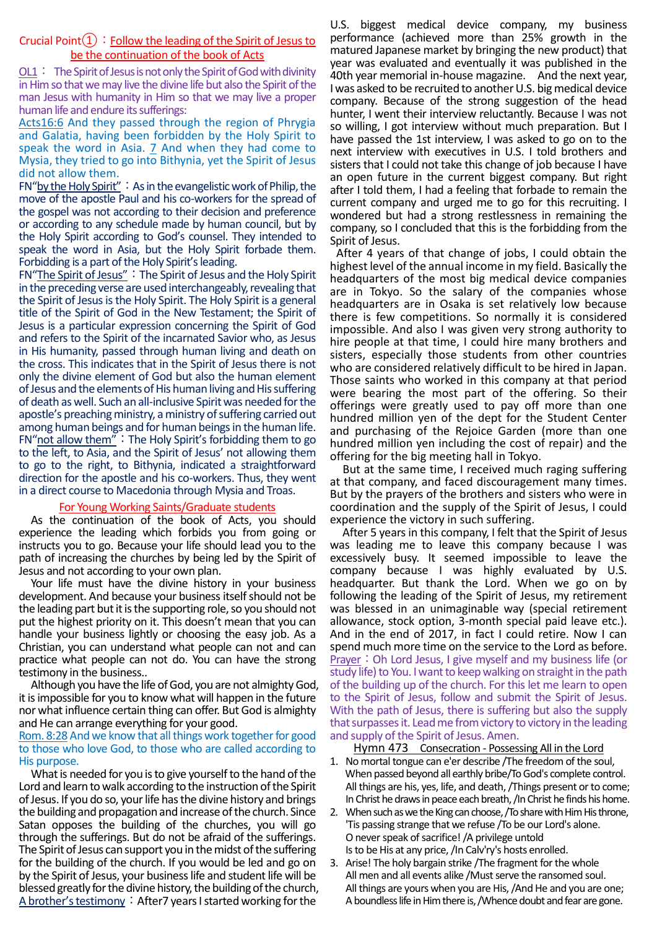#### Crucial Point $(1)$ : Follow the leading of the Spirit of Jesus to be the continuation of the book of Acts

 $OL1:$  The Spirit of Jesus is not only the Spirit of God with divinity in Him so that we may live the divine life but also the Spirit of the man Jesus with humanity in Him so that we may live a proper human life and endure its sufferings:

Acts16:6 And they passed through the region of Phrygia and Galatia, having been forbidden by the Holy Spirit to speak the word in Asia.  $7$  And when they had come to Mysia, they tried to go into Bithynia, yet the Spirit of Jesus did not allow them.

FN"by the Holy Spirit": As in the evangelistic work of Philip, the move of the apostle Paul and his co-workers for the spread of the gospel was not according to their decision and preference or according to any schedule made by human council, but by the Holy Spirit according to God's counsel. They intended to speak the word in Asia, but the Holy Spirit forbade them. Forbidding is a part of the Holy Spirit's leading.

FN"The Spirit of Jesus":The Spirit of Jesus and the Holy Spirit in the preceding verse are used interchangeably, revealing that the Spirit of Jesus is the Holy Spirit. The Holy Spirit is a general title of the Spirit of God in the New Testament; the Spirit of Jesus is a particular expression concerning the Spirit of God and refers to the Spirit of the incarnated Savior who, as Jesus in His humanity, passed through human living and death on the cross. This indicates that in the Spirit of Jesus there is not only the divine element of God but also the human element of Jesus and the elements of His human living and His suffering of death as well. Such an all-inclusive Spirit was needed for the apostle's preaching ministry, a ministry of suffering carried out among human beings and for human beings in the human life. FN"not allow them": The Holy Spirit's forbidding them to go to the left, to Asia, and the Spirit of Jesus' not allowing them to go to the right, to Bithynia, indicated a straightforward direction for the apostle and his co-workers. Thus, they went in a direct course to Macedonia through Mysia and Troas.

#### For Young Working Saints/Graduate students

As the continuation of the book of Acts, you should experience the leading which forbids you from going or instructs you to go. Because your life should lead you to the path of increasing the churches by being led by the Spirit of Jesus and not according to your own plan.

Your life must have the divine history in your business development. And because your business itself should not be the leading part but it is the supporting role, so you should not put the highest priority on it. This doesn't mean that you can handle your business lightly or choosing the easy job. As a Christian, you can understand what people can not and can practice what people can not do. You can have the strong testimony in the business..

Although you have the life of God, you are not almighty God, it is impossible for you to know what will happen in the future nor what influence certain thing can offer. But God is almighty and He can arrange everything for your good.

#### Rom. 8:28 And we know that all things work together for good to those who love God, to those who are called according to His purpose.

What is needed for you is to give yourself to the hand of the Lord and learn to walk according to the instruction of the Spirit of Jesus. If you do so, your life has the divine history and brings the building and propagation and increase of the church. Since Satan opposes the building of the churches, you will go through the sufferings. But do not be afraid of the sufferings. The Spirit of Jesus can support you in the midst of the suffering for the building of the church. If you would be led and go on by the Spirit of Jesus, your business life and student life will be blessed greatly for the divine history, the building of the church, A brother's testimony: After7 years I started working for the

U.S. biggest medical device company, my business performance (achieved more than 25% growth in the matured Japanese market by bringing the new product) that year was evaluated and eventually it was published in the 40th year memorial in-house magazine. And the next year, I was asked to be recruited to another U.S. big medical device company. Because of the strong suggestion of the head hunter, I went their interview reluctantly. Because I was not so willing, I got interview without much preparation. But I have passed the 1st interview, I was asked to go on to the next interview with executives in U.S. I told brothers and sisters that I could not take this change of job because I have an open future in the current biggest company. But right after I told them, I had a feeling that forbade to remain the current company and urged me to go for this recruiting. I wondered but had a strong restlessness in remaining the company, so I concluded that this is the forbidding from the Spirit of Jesus.

After 4 years of that change of jobs, I could obtain the highest level of the annual income in my field. Basically the headquarters of the most big medical device companies are in Tokyo. So the salary of the companies whose headquarters are in Osaka is set relatively low because there is few competitions. So normally it is considered impossible. And also I was given very strong authority to hire people at that time, I could hire many brothers and sisters, especially those students from other countries who are considered relatively difficult to be hired in Japan. Those saints who worked in this company at that period were bearing the most part of the offering. So their offerings were greatly used to pay off more than one hundred million yen of the dept for the Student Center and purchasing of the Rejoice Garden (more than one hundred million yen including the cost of repair) and the offering for the big meeting hall in Tokyo.

But at the same time, I received much raging suffering at that company, and faced discouragement many times. But by the prayers of the brothers and sisters who were in coordination and the supply of the Spirit of Jesus, I could experience the victory in such suffering.

After 5 years in this company, I felt that the Spirit of Jesus was leading me to leave this company because I was excessively busy. It seemed impossible to leave the company because I was highly evaluated by U.S. headquarter. But thank the Lord. When we go on by following the leading of the Spirit of Jesus, my retirement was blessed in an unimaginable way (special retirement allowance, stock option, 3-month special paid leave etc.). And in the end of 2017, in fact I could retire. Now I can spend much more time on the service to the Lord as before. Prayer: Oh Lord Jesus, I give myself and my business life (or study life) to You. I want to keep walking on straight in the path of the building up of the church. For this let me learn to open to the Spirit of Jesus, follow and submit the Spirit of Jesus. With the path of Jesus, there is suffering but also the supply that surpasses it. Lead me from victory to victory in the leading and supply of the Spirit of Jesus. Amen.

Hymn 473 Consecration - Possessing All in the Lord

- 1. No mortal tongue can e'er describe /The freedom of the soul, When passed beyond all earthly bribe/To God's complete control. All things are his, yes, life, and death,/Things present or to come; In Christ he draws in peace each breath,/In Christ he finds his home.
- 2. When such as we the King can choose,/To share with Him His throne, 'Tis passing strange that we refuse /To be our Lord's alone. O never speak of sacrifice!/A privilege untold Is to be His at any price,/In Calv'ry's hosts enrolled.
- 3. Arise! The holy bargain strike /The fragment for the whole All men and all events alike /Must serve the ransomed soul. All things are yours when you are His,/And He and you are one; A boundless life in Him there is,/Whence doubt and fear are gone.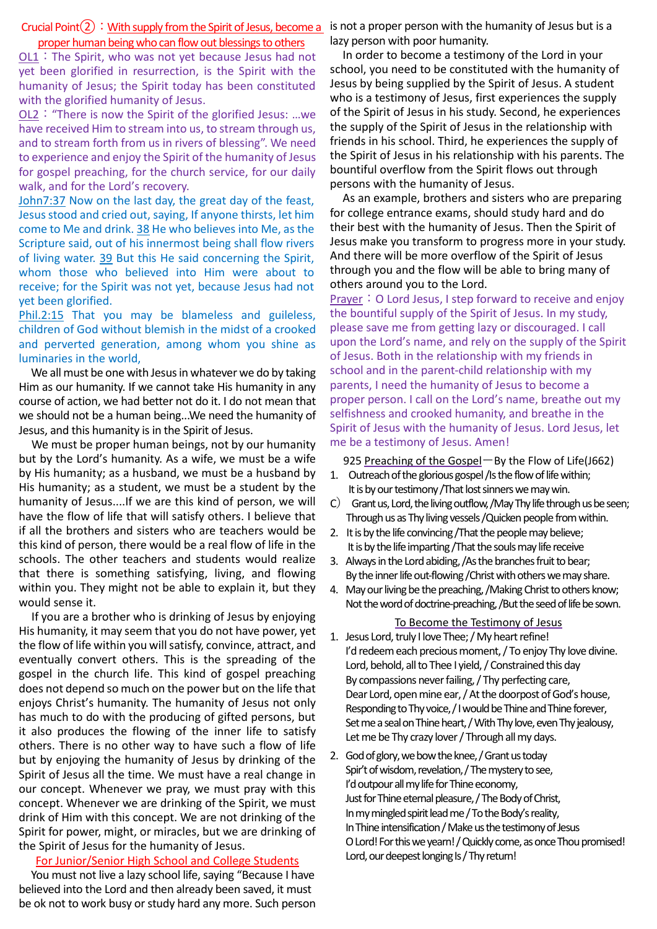#### Crucial Point  $(2)$ : With supply from the Spirit of Jesus, become a is not a proper person with the humanity of Jesus but is a proper human being who can flow out blessings to others

OL1:The Spirit, who was not yet because Jesus had not yet been glorified in resurrection, is the Spirit with the humanity of Jesus; the Spirit today has been constituted with the glorified humanity of Jesus.

OL2:"There is now the Spirit of the glorified Jesus: …we have received Him to stream into us, to stream through us, and to stream forth from us in rivers of blessing". We need to experience and enjoy the Spirit of the humanity of Jesus for gospel preaching, for the church service, for our daily walk, and for the Lord's recovery.

John7:37 Now on the last day, the great day of the feast, Jesus stood and cried out, saying, If anyone thirsts, let him come to Me and drink. 38 He who believes into Me, as the Scripture said, out of his innermost being shall flow rivers of living water. 39 But this He said concerning the Spirit, whom those who believed into Him were about to receive; for the Spirit was not yet, because Jesus had not yet been glorified.

#### Phil.2:15 That you may be blameless and guileless, children of God without blemish in the midst of a crooked and perverted generation, among whom you shine as luminaries in the world,

We all must be one with Jesus in whatever we do by taking Him as our humanity. If we cannot take His humanity in any course of action, we had better not do it. I do not mean that we should not be a human being...We need the humanity of Jesus, and this humanity is in the Spirit of Jesus.

We must be proper human beings, not by our humanity but by the Lord's humanity. As a wife, we must be a wife by His humanity; as a husband, we must be a husband by His humanity; as a student, we must be a student by the humanity of Jesus....If we are this kind of person, we will have the flow of life that will satisfy others. I believe that if all the brothers and sisters who are teachers would be this kind of person, there would be a real flow of life in the schools. The other teachers and students would realize that there is something satisfying, living, and flowing within you. They might not be able to explain it, but they would sense it.

If you are a brother who is drinking of Jesus by enjoying His humanity, it may seem that you do not have power, yet the flow of life within you will satisfy, convince, attract, and eventually convert others. This is the spreading of the gospel in the church life. This kind of gospel preaching does not depend so much on the power but on the life that enjoys Christ's humanity. The humanity of Jesus not only has much to do with the producing of gifted persons, but it also produces the flowing of the inner life to satisfy others. There is no other way to have such a flow of life but by enjoying the humanity of Jesus by drinking of the Spirit of Jesus all the time. We must have a real change in our concept. Whenever we pray, we must pray with this concept. Whenever we are drinking of the Spirit, we must drink of Him with this concept. We are not drinking of the Spirit for power, might, or miracles, but we are drinking of the Spirit of Jesus for the humanity of Jesus.

#### For Junior/Senior High School and College Students

You must not live a lazy school life, saying "Because I have believed into the Lord and then already been saved, it must be ok not to work busy or study hard any more. Such person lazy person with poor humanity.

In order to become a testimony of the Lord in your school, you need to be constituted with the humanity of Jesus by being supplied by the Spirit of Jesus. A student who is a testimony of Jesus, first experiences the supply of the Spirit of Jesus in his study. Second, he experiences the supply of the Spirit of Jesus in the relationship with friends in his school. Third, he experiences the supply of the Spirit of Jesus in his relationship with his parents. The bountiful overflow from the Spirit flows out through persons with the humanity of Jesus.

As an example, brothers and sisters who are preparing for college entrance exams, should study hard and do their best with the humanity of Jesus. Then the Spirit of Jesus make you transform to progress more in your study. And there will be more overflow of the Spirit of Jesus through you and the flow will be able to bring many of others around you to the Lord.

Prayer: O Lord Jesus, I step forward to receive and enjoy the bountiful supply of the Spirit of Jesus. In my study, please save me from getting lazy or discouraged. I call upon the Lord's name, and rely on the supply of the Spirit of Jesus. Both in the relationship with my friends in school and in the parent-child relationship with my parents, I need the humanity of Jesus to become a proper person. I call on the Lord's name, breathe out my selfishness and crooked humanity, and breathe in the Spirit of Jesus with the humanity of Jesus. Lord Jesus, let me be a testimony of Jesus. Amen!

925 Preaching of the GospelーBy the Flow of Life(J662)

- 1. Outreach of the glorious gospel /Is the flow of life within; It is by our testimony /That lost sinners we may win.
- C) Grant us, Lord, the living outflow, /May Thy life through us be seen; Through us as Thy living vessels /Quicken people from within.
- 2. It is by the life convincing /That the people may believe; It is by the life imparting /That the souls may life receive
- 3. Always in the Lord abiding, /As the branches fruit to bear; By the inner life out-flowing /Christ with others we may share.
- 4. May our living be the preaching, /Making Christ to others know; Not the word of doctrine-preaching, /But the seed of life be sown.

#### To Become the Testimony of Jesus

- 1. Jesus Lord, truly I love Thee; / My heart refine! I'd redeem each precious moment, / To enjoy Thy love divine. Lord, behold, all to Thee I yield, / Constrained this day By compassions never failing, / Thy perfecting care, Dear Lord, open mine ear, / At the doorpost of God's house, Responding to Thy voice, / I would be Thine and Thine forever, Set me a seal on Thine heart, / With Thy love, even Thy jealousy, Let me be Thy crazy lover / Through all my days.
- 2. God of glory, we bow the knee, / Grant us today Spir't of wisdom, revelation, / The mystery to see, I'd outpour all my life for Thine economy, Just for Thine eternal pleasure, / The Body of Christ, In my mingled spirit lead me / To the Body's reality, In Thine intensification / Make us the testimony of Jesus O Lord! For this we yearn! / Quickly come, as once Thou promised! Lord, our deepest longing Is / Thy return!